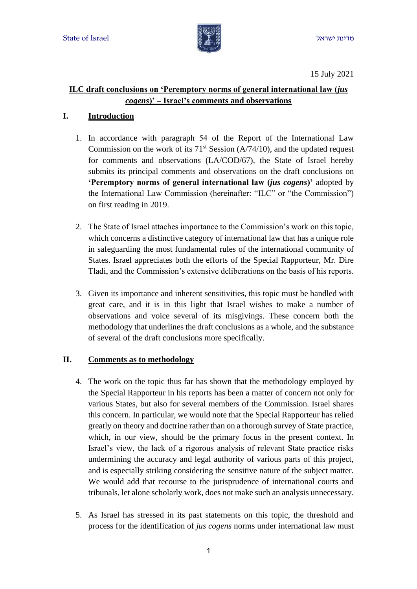

15 July 2021

## **ILC draft conclusions on 'Peremptory norms of general international law (***jus cogens***)' – Israel's comments and observations**

## **I. Introduction**

- 1. In accordance with paragraph 54 of the Report of the International Law Commission on the work of its  $71<sup>st</sup>$  Session (A/74/10), and the updated request for comments and observations (LA/COD/67), the State of Israel hereby submits its principal comments and observations on the draft conclusions on **'Peremptory norms of general international law (***jus cogens***)'** adopted by the International Law Commission (hereinafter: "ILC" or "the Commission") on first reading in 2019.
- 2. The State of Israel attaches importance to the Commission's work on this topic, which concerns a distinctive category of international law that has a unique role in safeguarding the most fundamental rules of the international community of States. Israel appreciates both the efforts of the Special Rapporteur, Mr. Dire Tladi, and the Commission's extensive deliberations on the basis of his reports.
- 3. Given its importance and inherent sensitivities, this topic must be handled with great care, and it is in this light that Israel wishes to make a number of observations and voice several of its misgivings. These concern both the methodology that underlines the draft conclusions as a whole, and the substance of several of the draft conclusions more specifically.

### **II. Comments as to methodology**

- 4. The work on the topic thus far has shown that the methodology employed by the Special Rapporteur in his reports has been a matter of concern not only for various States, but also for several members of the Commission. Israel shares this concern. In particular, we would note that the Special Rapporteur has relied greatly on theory and doctrine rather than on a thorough survey of State practice, which, in our view, should be the primary focus in the present context. In Israel's view, the lack of a rigorous analysis of relevant State practice risks undermining the accuracy and legal authority of various parts of this project, and is especially striking considering the sensitive nature of the subject matter. We would add that recourse to the jurisprudence of international courts and tribunals, let alone scholarly work, does not make such an analysis unnecessary.
- 5. As Israel has stressed in its past statements on this topic, the threshold and process for the identification of *jus cogens* norms under international law must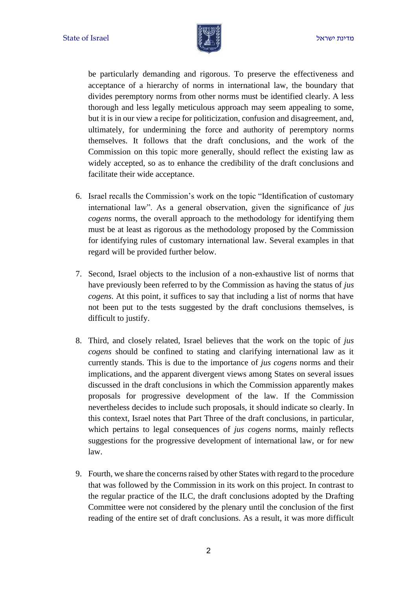

be particularly demanding and rigorous. To preserve the effectiveness and acceptance of a hierarchy of norms in international law, the boundary that divides peremptory norms from other norms must be identified clearly. A less thorough and less legally meticulous approach may seem appealing to some, but it is in our view a recipe for politicization, confusion and disagreement, and, ultimately, for undermining the force and authority of peremptory norms themselves. It follows that the draft conclusions, and the work of the Commission on this topic more generally, should reflect the existing law as widely accepted, so as to enhance the credibility of the draft conclusions and facilitate their wide acceptance.

- 6. Israel recalls the Commission's work on the topic "Identification of customary international law". As a general observation, given the significance of *jus cogens* norms, the overall approach to the methodology for identifying them must be at least as rigorous as the methodology proposed by the Commission for identifying rules of customary international law. Several examples in that regard will be provided further below.
- 7. Second, Israel objects to the inclusion of a non-exhaustive list of norms that have previously been referred to by the Commission as having the status of *jus cogens*. At this point, it suffices to say that including a list of norms that have not been put to the tests suggested by the draft conclusions themselves, is difficult to justify.
- 8. Third, and closely related, Israel believes that the work on the topic of *jus cogens* should be confined to stating and clarifying international law as it currently stands. This is due to the importance of *jus cogens* norms and their implications, and the apparent divergent views among States on several issues discussed in the draft conclusions in which the Commission apparently makes proposals for progressive development of the law. If the Commission nevertheless decides to include such proposals, it should indicate so clearly. In this context, Israel notes that Part Three of the draft conclusions, in particular, which pertains to legal consequences of *jus cogens* norms, mainly reflects suggestions for the progressive development of international law, or for new law.
- 9. Fourth, we share the concerns raised by other States with regard to the procedure that was followed by the Commission in its work on this project. In contrast to the regular practice of the ILC, the draft conclusions adopted by the Drafting Committee were not considered by the plenary until the conclusion of the first reading of the entire set of draft conclusions. As a result, it was more difficult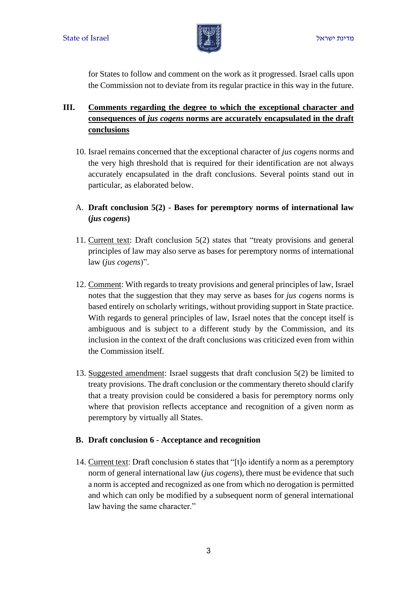

for States to follow and comment on the work as it progressed. Israel calls upon the Commission not to deviate from its regular practice in this way in the future.

# **III. Comments regarding the degree to which the exceptional character and consequences of** *jus cogens* **norms are accurately encapsulated in the draft conclusions**

- 10. Israel remains concerned that the exceptional character of *jus cogens* norms and the very high threshold that is required for their identification are not always accurately encapsulated in the draft conclusions. Several points stand out in particular, as elaborated below.
- A. **Draft conclusion 5(2) - Bases for peremptory norms of international law (***jus cogens***)**
- 11. Current text: Draft conclusion 5(2) states that "treaty provisions and general principles of law may also serve as bases for peremptory norms of international law (*jus cogens*)".
- 12. Comment: With regards to treaty provisions and general principles of law, Israel notes that the suggestion that they may serve as bases for *jus cogens* norms is based entirely on scholarly writings, without providing support in State practice. With regards to general principles of law, Israel notes that the concept itself is ambiguous and is subject to a different study by the Commission, and its inclusion in the context of the draft conclusions was criticized even from within the Commission itself.
- 13. Suggested amendment: Israel suggests that draft conclusion 5(2) be limited to treaty provisions. The draft conclusion or the commentary thereto should clarify that a treaty provision could be considered a basis for peremptory norms only where that provision reflects acceptance and recognition of a given norm as peremptory by virtually all States.

### **B. Draft conclusion 6 - Acceptance and recognition**

14. Current text: Draft conclusion 6 states that "[t]o identify a norm as a peremptory norm of general international law (*jus cogens*), there must be evidence that such a norm is accepted and recognized as one from which no derogation is permitted and which can only be modified by a subsequent norm of general international law having the same character."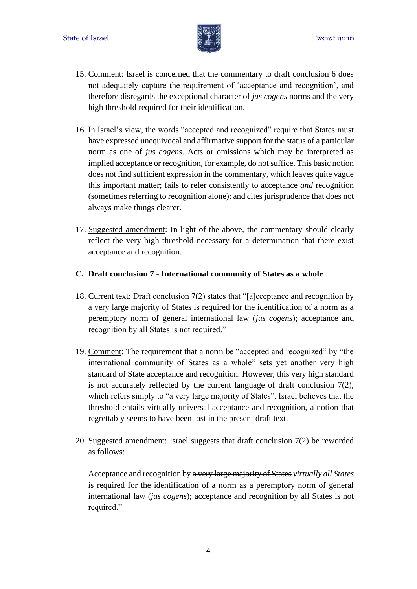

- 15. Comment: Israel is concerned that the commentary to draft conclusion 6 does not adequately capture the requirement of 'acceptance and recognition', and therefore disregards the exceptional character of *jus cogens* norms and the very high threshold required for their identification.
- 16. In Israel's view, the words "accepted and recognized" require that States must have expressed unequivocal and affirmative support for the status of a particular norm as one of *jus cogens*. Acts or omissions which may be interpreted as implied acceptance or recognition, for example, do not suffice. This basic notion does not find sufficient expression in the commentary, which leaves quite vague this important matter; fails to refer consistently to acceptance *and* recognition (sometimes referring to recognition alone); and cites jurisprudence that does not always make things clearer.
- 17. Suggested amendment: In light of the above, the commentary should clearly reflect the very high threshold necessary for a determination that there exist acceptance and recognition.

#### **C. Draft conclusion 7 - International community of States as a whole**

- 18. Current text: Draft conclusion 7(2) states that "[a]cceptance and recognition by a very large majority of States is required for the identification of a norm as a peremptory norm of general international law (*jus cogens*); acceptance and recognition by all States is not required."
- 19. Comment: The requirement that a norm be "accepted and recognized" by "the international community of States as a whole" sets yet another very high standard of State acceptance and recognition. However, this very high standard is not accurately reflected by the current language of draft conclusion  $7(2)$ , which refers simply to "a very large majority of States". Israel believes that the threshold entails virtually universal acceptance and recognition, a notion that regrettably seems to have been lost in the present draft text.
- 20. Suggested amendment: Israel suggests that draft conclusion 7(2) be reworded as follows:

Acceptance and recognition by a very large majority of States *virtually all States*  is required for the identification of a norm as a peremptory norm of general international law (*jus cogens*); acceptance and recognition by all States is not required."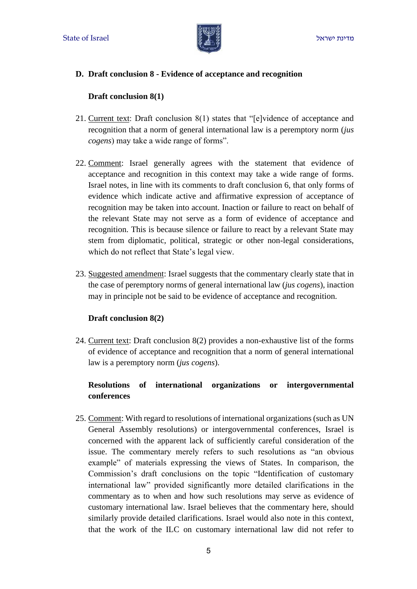

### **D. Draft conclusion 8 - Evidence of acceptance and recognition**

#### **Draft conclusion 8(1)**

- 21. Current text: Draft conclusion 8(1) states that "[e]vidence of acceptance and recognition that a norm of general international law is a peremptory norm (*jus cogens*) may take a wide range of forms".
- 22. Comment: Israel generally agrees with the statement that evidence of acceptance and recognition in this context may take a wide range of forms. Israel notes, in line with its comments to draft conclusion 6, that only forms of evidence which indicate active and affirmative expression of acceptance of recognition may be taken into account. Inaction or failure to react on behalf of the relevant State may not serve as a form of evidence of acceptance and recognition. This is because silence or failure to react by a relevant State may stem from diplomatic, political, strategic or other non-legal considerations, which do not reflect that State's legal view.
- 23. Suggested amendment: Israel suggests that the commentary clearly state that in the case of peremptory norms of general international law (*jus cogens*), inaction may in principle not be said to be evidence of acceptance and recognition.

### **Draft conclusion 8(2)**

24. Current text: Draft conclusion 8(2) provides a non-exhaustive list of the forms of evidence of acceptance and recognition that a norm of general international law is a peremptory norm (*jus cogens*).

## **Resolutions of international organizations or intergovernmental conferences**

25. Comment: With regard to resolutions of international organizations (such as UN General Assembly resolutions) or intergovernmental conferences, Israel is concerned with the apparent lack of sufficiently careful consideration of the issue. The commentary merely refers to such resolutions as "an obvious example" of materials expressing the views of States. In comparison, the Commission's draft conclusions on the topic "Identification of customary international law" provided significantly more detailed clarifications in the commentary as to when and how such resolutions may serve as evidence of customary international law. Israel believes that the commentary here, should similarly provide detailed clarifications. Israel would also note in this context, that the work of the ILC on customary international law did not refer to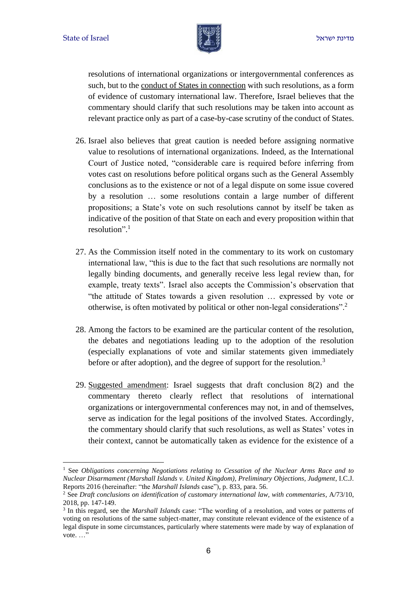

resolutions of international organizations or intergovernmental conferences as such, but to the conduct of States in connection with such resolutions, as a form of evidence of customary international law. Therefore, Israel believes that the commentary should clarify that such resolutions may be taken into account as relevant practice only as part of a case-by-case scrutiny of the conduct of States.

- 26. Israel also believes that great caution is needed before assigning normative value to resolutions of international organizations. Indeed, as the International Court of Justice noted, "considerable care is required before inferring from votes cast on resolutions before political organs such as the General Assembly conclusions as to the existence or not of a legal dispute on some issue covered by a resolution … some resolutions contain a large number of different propositions; a State's vote on such resolutions cannot by itself be taken as indicative of the position of that State on each and every proposition within that resolution". 1
- 27. As the Commission itself noted in the commentary to its work on customary international law, "this is due to the fact that such resolutions are normally not legally binding documents, and generally receive less legal review than, for example, treaty texts". Israel also accepts the Commission's observation that "the attitude of States towards a given resolution … expressed by vote or otherwise, is often motivated by political or other non-legal considerations".<sup>2</sup>
- 28. Among the factors to be examined are the particular content of the resolution, the debates and negotiations leading up to the adoption of the resolution (especially explanations of vote and similar statements given immediately before or after adoption), and the degree of support for the resolution.<sup>3</sup>
- 29. Suggested amendment: Israel suggests that draft conclusion 8(2) and the commentary thereto clearly reflect that resolutions of international organizations or intergovernmental conferences may not, in and of themselves, serve as indication for the legal positions of the involved States. Accordingly, the commentary should clarify that such resolutions, as well as States' votes in their context, cannot be automatically taken as evidence for the existence of a

<sup>1</sup> See *Obligations concerning Negotiations relating to Cessation of the Nuclear Arms Race and to Nuclear Disarmament (Marshall Islands v. United Kingdom), Preliminary Objections, Judgment*, I.C.J. Reports 2016 (hereinafter: "the *Marshall Islands* case"), p. 833, para. 56.

<sup>2</sup> See *Draft conclusions on identification of customary international law, with commentaries*, A/73/10, 2018, pp. 147-149.

<sup>&</sup>lt;sup>3</sup> In this regard, see the *Marshall Islands* case: "The wording of a resolution, and votes or patterns of voting on resolutions of the same subject-matter, may constitute relevant evidence of the existence of a legal dispute in some circumstances, particularly where statements were made by way of explanation of vote. ..."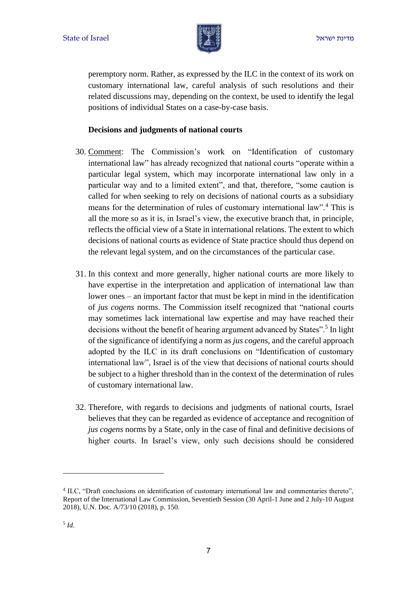

peremptory norm. Rather, as expressed by the ILC in the context of its work on customary international law, careful analysis of such resolutions and their related discussions may, depending on the context, be used to identify the legal positions of individual States on a case-by-case basis.

#### **Decisions and judgments of national courts**

- 30. Comment: The Commission's work on "Identification of customary international law" has already recognized that national courts "operate within a particular legal system, which may incorporate international law only in a particular way and to a limited extent", and that, therefore, "some caution is called for when seeking to rely on decisions of national courts as a subsidiary means for the determination of rules of customary international law".<sup>4</sup> This is all the more so as it is, in Israel's view, the executive branch that, in principle, reflects the official view of a State in international relations. The extent to which decisions of national courts as evidence of State practice should thus depend on the relevant legal system, and on the circumstances of the particular case.
- 31. In this context and more generally, higher national courts are more likely to have expertise in the interpretation and application of international law than lower ones – an important factor that must be kept in mind in the identification of *jus cogens* norms. The Commission itself recognized that "national courts may sometimes lack international law expertise and may have reached their decisions without the benefit of hearing argument advanced by States".<sup>5</sup> In light of the significance of identifying a norm as *jus cogens*, and the careful approach adopted by the ILC in its draft conclusions on "Identification of customary international law", Israel is of the view that decisions of national courts should be subject to a higher threshold than in the context of the determination of rules of customary international law.
- 32. Therefore, with regards to decisions and judgments of national courts, Israel believes that they can be regarded as evidence of acceptance and recognition of *jus cogens* norms by a State, only in the case of final and definitive decisions of higher courts. In Israel's view, only such decisions should be considered

<sup>4</sup> ILC, "Draft conclusions on identification of customary international law and commentaries thereto", Report of the International Law Commission, Seventieth Session (30 April-1 June and 2 July-10 August 2018), U.N. Doc. A/73/10 (2018), p. 150.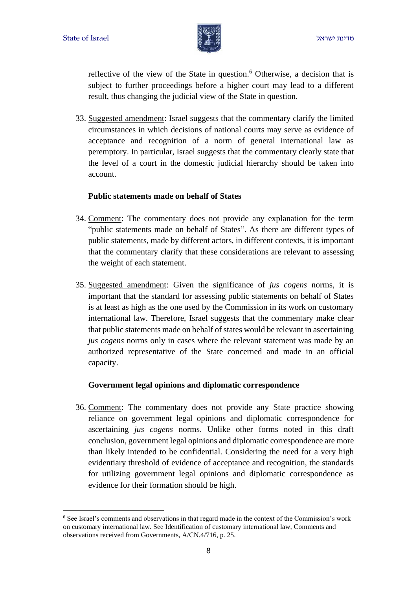

reflective of the view of the State in question. <sup>6</sup> Otherwise, a decision that is subject to further proceedings before a higher court may lead to a different result, thus changing the judicial view of the State in question.

33. Suggested amendment: Israel suggests that the commentary clarify the limited circumstances in which decisions of national courts may serve as evidence of acceptance and recognition of a norm of general international law as peremptory. In particular, Israel suggests that the commentary clearly state that the level of a court in the domestic judicial hierarchy should be taken into account.

#### **Public statements made on behalf of States**

- 34. Comment: The commentary does not provide any explanation for the term "public statements made on behalf of States". As there are different types of public statements, made by different actors, in different contexts, it is important that the commentary clarify that these considerations are relevant to assessing the weight of each statement.
- 35. Suggested amendment: Given the significance of *jus cogens* norms, it is important that the standard for assessing public statements on behalf of States is at least as high as the one used by the Commission in its work on customary international law. Therefore, Israel suggests that the commentary make clear that public statements made on behalf of states would be relevant in ascertaining *jus cogens* norms only in cases where the relevant statement was made by an authorized representative of the State concerned and made in an official capacity.

### **Government legal opinions and diplomatic correspondence**

36. Comment: The commentary does not provide any State practice showing reliance on government legal opinions and diplomatic correspondence for ascertaining *jus cogens* norms. Unlike other forms noted in this draft conclusion, government legal opinions and diplomatic correspondence are more than likely intended to be confidential. Considering the need for a very high evidentiary threshold of evidence of acceptance and recognition, the standards for utilizing government legal opinions and diplomatic correspondence as evidence for their formation should be high.

<sup>6</sup> See Israel's comments and observations in that regard made in the context of the Commission's work on customary international law. See Identification of customary international law, Comments and observations received from Governments, A/CN.4/716, p. 25.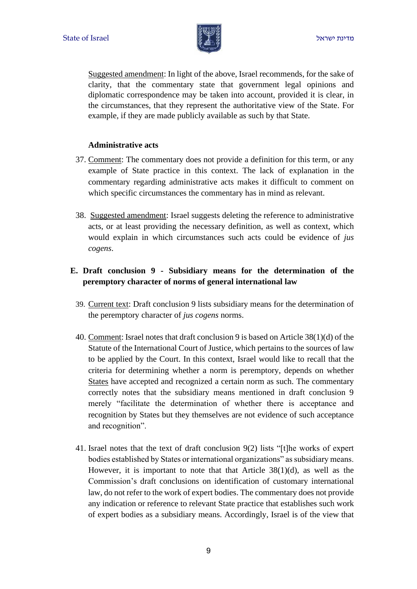

Suggested amendment: In light of the above, Israel recommends, for the sake of clarity, that the commentary state that government legal opinions and diplomatic correspondence may be taken into account, provided it is clear, in the circumstances, that they represent the authoritative view of the State. For example, if they are made publicly available as such by that State.

#### **Administrative acts**

- 37. Comment: The commentary does not provide a definition for this term, or any example of State practice in this context. The lack of explanation in the commentary regarding administrative acts makes it difficult to comment on which specific circumstances the commentary has in mind as relevant.
- 38. Suggested amendment: Israel suggests deleting the reference to administrative acts, or at least providing the necessary definition, as well as context, which would explain in which circumstances such acts could be evidence of *jus cogens*.

# **E. Draft conclusion 9 - Subsidiary means for the determination of the peremptory character of norms of general international law**

- 39. Current text: Draft conclusion 9 lists subsidiary means for the determination of the peremptory character of *jus cogens* norms.
- 40. Comment: Israel notes that draft conclusion 9 is based on Article 38(1)(d) of the Statute of the International Court of Justice, which pertains to the sources of law to be applied by the Court. In this context, Israel would like to recall that the criteria for determining whether a norm is peremptory, depends on whether States have accepted and recognized a certain norm as such. The commentary correctly notes that the subsidiary means mentioned in draft conclusion 9 merely "facilitate the determination of whether there is acceptance and recognition by States but they themselves are not evidence of such acceptance and recognition".
- 41. Israel notes that the text of draft conclusion 9(2) lists "[t]he works of expert bodies established by States or international organizations" as subsidiary means. However, it is important to note that that Article  $38(1)(d)$ , as well as the Commission's draft conclusions on identification of customary international law, do not refer to the work of expert bodies. The commentary does not provide any indication or reference to relevant State practice that establishes such work of expert bodies as a subsidiary means. Accordingly, Israel is of the view that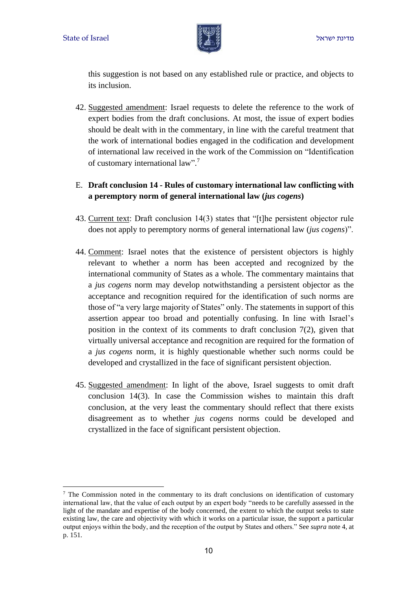

this suggestion is not based on any established rule or practice, and objects to its inclusion.

- 42. Suggested amendment: Israel requests to delete the reference to the work of expert bodies from the draft conclusions. At most, the issue of expert bodies should be dealt with in the commentary, in line with the careful treatment that the work of international bodies engaged in the codification and development of international law received in the work of the Commission on "Identification of customary international law".<sup>7</sup>
- E. **Draft conclusion 14 - Rules of customary international law conflicting with a peremptory norm of general international law (***jus cogens***)**
- 43. Current text: Draft conclusion 14(3) states that "[t]he persistent objector rule does not apply to peremptory norms of general international law (*jus cogens*)".
- 44. Comment: Israel notes that the existence of persistent objectors is highly relevant to whether a norm has been accepted and recognized by the international community of States as a whole. The commentary maintains that a *jus cogens* norm may develop notwithstanding a persistent objector as the acceptance and recognition required for the identification of such norms are those of "a very large majority of States" only. The statements in support of this assertion appear too broad and potentially confusing. In line with Israel's position in the context of its comments to draft conclusion 7(2), given that virtually universal acceptance and recognition are required for the formation of a *jus cogens* norm, it is highly questionable whether such norms could be developed and crystallized in the face of significant persistent objection.
- 45. Suggested amendment: In light of the above, Israel suggests to omit draft conclusion 14(3). In case the Commission wishes to maintain this draft conclusion, at the very least the commentary should reflect that there exists disagreement as to whether *jus cogens* norms could be developed and crystallized in the face of significant persistent objection.

 $\frac{7}{1}$  The Commission noted in the commentary to its draft conclusions on identification of customary international law, that the value of each output by an expert body "needs to be carefully assessed in the light of the mandate and expertise of the body concerned, the extent to which the output seeks to state existing law, the care and objectivity with which it works on a particular issue, the support a particular output enjoys within the body, and the reception of the output by States and others." See *supra* note 4, at p. 151.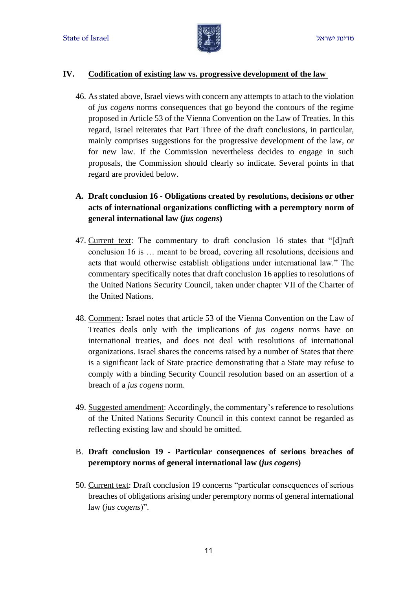

#### **IV. Codification of existing law vs. progressive development of the law**

46. As stated above, Israel views with concern any attempts to attach to the violation of *jus cogens* norms consequences that go beyond the contours of the regime proposed in Article 53 of the Vienna Convention on the Law of Treaties. In this regard, Israel reiterates that Part Three of the draft conclusions, in particular, mainly comprises suggestions for the progressive development of the law, or for new law. If the Commission nevertheless decides to engage in such proposals, the Commission should clearly so indicate. Several points in that regard are provided below.

# **A. Draft conclusion 16 - Obligations created by resolutions, decisions or other acts of international organizations conflicting with a peremptory norm of general international law (***jus cogens***)**

- 47. Current text: The commentary to draft conclusion 16 states that "[d]raft conclusion 16 is … meant to be broad, covering all resolutions, decisions and acts that would otherwise establish obligations under international law." The commentary specifically notes that draft conclusion 16 applies to resolutions of the United Nations Security Council, taken under chapter VII of the Charter of the United Nations.
- 48. Comment: Israel notes that article 53 of the Vienna Convention on the Law of Treaties deals only with the implications of *jus cogens* norms have on international treaties, and does not deal with resolutions of international organizations. Israel shares the concerns raised by a number of States that there is a significant lack of State practice demonstrating that a State may refuse to comply with a binding Security Council resolution based on an assertion of a breach of a *jus cogens* norm.
- 49. Suggested amendment: Accordingly, the commentary's reference to resolutions of the United Nations Security Council in this context cannot be regarded as reflecting existing law and should be omitted.

## B. **Draft conclusion 19 - Particular consequences of serious breaches of peremptory norms of general international law (***jus cogens***)**

50. Current text: Draft conclusion 19 concerns "particular consequences of serious breaches of obligations arising under peremptory norms of general international law (*jus cogens*)".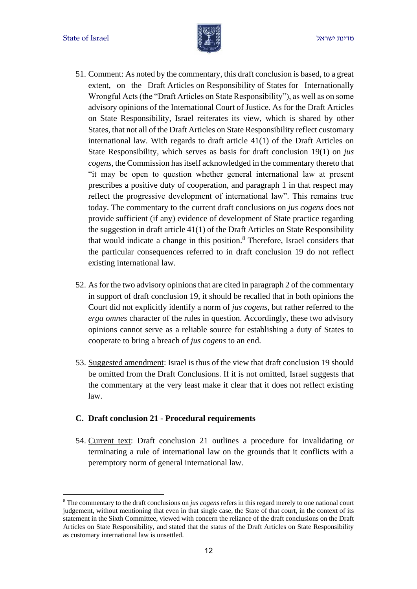

- 51. Comment: As noted by the commentary, this draft conclusion is based, to a great extent, on the Draft Articles on Responsibility of States for Internationally Wrongful Acts (the "Draft Articles on State Responsibility"), as well as on some advisory opinions of the International Court of Justice. As for the Draft Articles on State Responsibility, Israel reiterates its view, which is shared by other States, that not all of the Draft Articles on State Responsibility reflect customary international law. With regards to draft article 41(1) of the Draft Articles on State Responsibility, which serves as basis for draft conclusion 19(1) on *jus cogens*, the Commission has itself acknowledged in the commentary thereto that "it may be open to question whether general international law at present prescribes a positive duty of cooperation, and paragraph 1 in that respect may reflect the progressive development of international law". This remains true today. The commentary to the current draft conclusions on *jus cogens* does not provide sufficient (if any) evidence of development of State practice regarding the suggestion in draft article 41(1) of the Draft Articles on State Responsibility that would indicate a change in this position. <sup>8</sup> Therefore, Israel considers that the particular consequences referred to in draft conclusion 19 do not reflect existing international law.
- 52. As for the two advisory opinions that are cited in paragraph 2 of the commentary in support of draft conclusion 19, it should be recalled that in both opinions the Court did not explicitly identify a norm of *jus cogens*, but rather referred to the *erga omnes* character of the rules in question. Accordingly, these two advisory opinions cannot serve as a reliable source for establishing a duty of States to cooperate to bring a breach of *jus cogens* to an end.
- 53. Suggested amendment: Israel is thus of the view that draft conclusion 19 should be omitted from the Draft Conclusions. If it is not omitted, Israel suggests that the commentary at the very least make it clear that it does not reflect existing law.

#### **C. Draft conclusion 21 - Procedural requirements**

54. Current text: Draft conclusion 21 outlines a procedure for invalidating or terminating a rule of international law on the grounds that it conflicts with a peremptory norm of general international law.

<sup>8</sup> The commentary to the draft conclusions on *jus cogens* refers in this regard merely to one national court judgement, without mentioning that even in that single case, the State of that court, in the context of its statement in the Sixth Committee, viewed with concern the reliance of the draft conclusions on the Draft Articles on State Responsibility, and stated that the status of the Draft Articles on State Responsibility as customary international law is unsettled.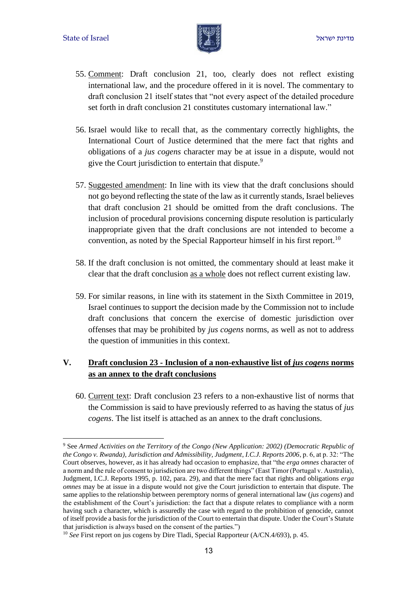

- 55. Comment: Draft conclusion 21, too, clearly does not reflect existing international law, and the procedure offered in it is novel. The commentary to draft conclusion 21 itself states that "not every aspect of the detailed procedure set forth in draft conclusion 21 constitutes customary international law."
- 56. Israel would like to recall that, as the commentary correctly highlights, the International Court of Justice determined that the mere fact that rights and obligations of a *jus cogens* character may be at issue in a dispute, would not give the Court jurisdiction to entertain that dispute.<sup>9</sup>
- 57. Suggested amendment: In line with its view that the draft conclusions should not go beyond reflecting the state of the law as it currently stands, Israel believes that draft conclusion 21 should be omitted from the draft conclusions. The inclusion of procedural provisions concerning dispute resolution is particularly inappropriate given that the draft conclusions are not intended to become a convention, as noted by the Special Rapporteur himself in his first report.<sup>10</sup>
- 58. If the draft conclusion is not omitted, the commentary should at least make it clear that the draft conclusion as a whole does not reflect current existing law.
- 59. For similar reasons, in line with its statement in the Sixth Committee in 2019, Israel continues to support the decision made by the Commission not to include draft conclusions that concern the exercise of domestic jurisdiction over offenses that may be prohibited by *jus cogens* norms, as well as not to address the question of immunities in this context.

## **V. Draft conclusion 23 - Inclusion of a non-exhaustive list of** *jus cogens* **norms as an annex to the draft conclusions**

60. Current text: Draft conclusion 23 refers to a non-exhaustive list of norms that the Commission is said to have previously referred to as having the status of *jus cogens*. The list itself is attached as an annex to the draft conclusions.

<sup>9</sup> See *Armed Activities on the Territory of the Congo (New Application: 2002) (Democratic Republic of the Congo v. Rwanda), Jurisdiction and Admissibility, Judgment*, *I.C.J. Reports 2006*, p. 6, at p. 32: "The Court observes, however, as it has already had occasion to emphasize, that "the *erga omnes* character of a norm and the rule of consent to jurisdiction are two different things" (East Timor (Portugal v. Australia), Judgment, I.C.J. Reports 1995, p. 102, para. 29), and that the mere fact that rights and obligations *erga omnes* may be at issue in a dispute would not give the Court jurisdiction to entertain that dispute. The same applies to the relationship between peremptory norms of general international law (*jus cogens*) and the establishment of the Court's jurisdiction: the fact that a dispute relates to compliance with a norm having such a character, which is assuredly the case with regard to the prohibition of genocide, cannot of itself provide a basis for the jurisdiction of the Court to entertain that dispute. Under the Court's Statute that jurisdiction is always based on the consent of the parties.")

<sup>&</sup>lt;sup>10</sup> *See* First report on jus cogens by Dire Tladi, Special Rapporteur (A/CN.4/693), p. 45.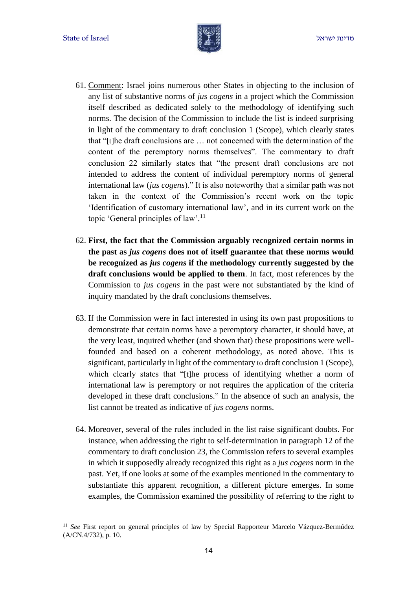

- 61. Comment: Israel joins numerous other States in objecting to the inclusion of any list of substantive norms of *jus cogens* in a project which the Commission itself described as dedicated solely to the methodology of identifying such norms. The decision of the Commission to include the list is indeed surprising in light of the commentary to draft conclusion 1 (Scope), which clearly states that "[t]he draft conclusions are … not concerned with the determination of the content of the peremptory norms themselves". The commentary to draft conclusion 22 similarly states that "the present draft conclusions are not intended to address the content of individual peremptory norms of general international law (*jus cogens*)." It is also noteworthy that a similar path was not taken in the context of the Commission's recent work on the topic 'Identification of customary international law', and in its current work on the topic 'General principles of law'.<sup>11</sup>
- 62. **First, the fact that the Commission arguably recognized certain norms in the past as** *jus cogens* **does not of itself guarantee that these norms would be recognized as** *jus cogens* **if the methodology currently suggested by the draft conclusions would be applied to them**. In fact, most references by the Commission to *jus cogens* in the past were not substantiated by the kind of inquiry mandated by the draft conclusions themselves.
- 63. If the Commission were in fact interested in using its own past propositions to demonstrate that certain norms have a peremptory character, it should have, at the very least, inquired whether (and shown that) these propositions were wellfounded and based on a coherent methodology, as noted above. This is significant, particularly in light of the commentary to draft conclusion 1 (Scope), which clearly states that "[t]he process of identifying whether a norm of international law is peremptory or not requires the application of the criteria developed in these draft conclusions." In the absence of such an analysis, the list cannot be treated as indicative of *jus cogens* norms.
- 64. Moreover, several of the rules included in the list raise significant doubts. For instance, when addressing the right to self-determination in paragraph 12 of the commentary to draft conclusion 23, the Commission refers to several examples in which it supposedly already recognized this right as a *jus cogens* norm in the past. Yet, if one looks at some of the examples mentioned in the commentary to substantiate this apparent recognition, a different picture emerges. In some examples, the Commission examined the possibility of referring to the right to

<sup>&</sup>lt;sup>11</sup> *See* First report on general principles of law by Special Rapporteur Marcelo Vázquez-Bermúdez (A/CN.4/732), p. 10.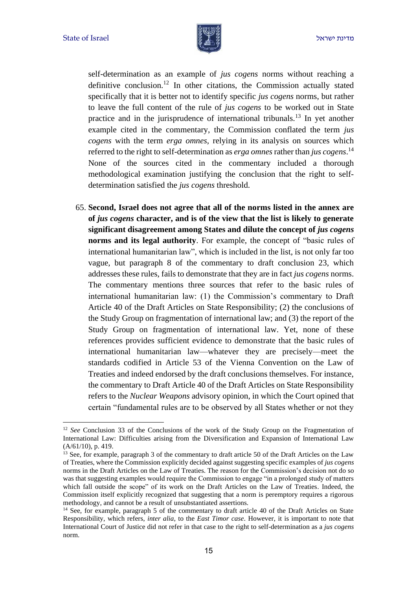

self-determination as an example of *jus cogens* norms without reaching a definitive conclusion.<sup>12</sup> In other citations, the Commission actually stated specifically that it is better not to identify specific *jus cogens* norms, but rather to leave the full content of the rule of *jus cogens* to be worked out in State practice and in the jurisprudence of international tribunals.<sup>13</sup> In yet another example cited in the commentary, the Commission conflated the term *jus cogens* with the term *erga omnes*, relying in its analysis on sources which referred to the right to self-determination as *erga omnes*rather than *jus cogens*. 14 None of the sources cited in the commentary included a thorough methodological examination justifying the conclusion that the right to selfdetermination satisfied the *jus cogens* threshold.

65. **Second, Israel does not agree that all of the norms listed in the annex are of** *jus cogens* **character, and is of the view that the list is likely to generate significant disagreement among States and dilute the concept of** *jus cogens* **norms and its legal authority**. For example, the concept of "basic rules of international humanitarian law", which is included in the list, is not only far too vague, but paragraph 8 of the commentary to draft conclusion 23, which addresses these rules, fails to demonstrate that they are in fact *jus cogens* norms. The commentary mentions three sources that refer to the basic rules of international humanitarian law: (1) the Commission's commentary to Draft Article 40 of the Draft Articles on State Responsibility; (2) the conclusions of the Study Group on fragmentation of international law; and (3) the report of the Study Group on fragmentation of international law. Yet, none of these references provides sufficient evidence to demonstrate that the basic rules of international humanitarian law—whatever they are precisely—meet the standards codified in Article 53 of the Vienna Convention on the Law of Treaties and indeed endorsed by the draft conclusions themselves. For instance, the commentary to Draft Article 40 of the Draft Articles on State Responsibility refers to the *Nuclear Weapons* advisory opinion, in which the Court opined that certain "fundamental rules are to be observed by all States whether or not they

<sup>&</sup>lt;sup>12</sup> *See* Conclusion 33 of the Conclusions of the work of the Study Group on the Fragmentation of International Law: Difficulties arising from the Diversification and Expansion of International Law (A/61/10), p. 419.

<sup>&</sup>lt;sup>13</sup> See, for example, paragraph 3 of the commentary to draft article 50 of the Draft Articles on the Law of Treaties, where the Commission explicitly decided against suggesting specific examples of *jus cogens* norms in the Draft Articles on the Law of Treaties. The reason for the Commission's decision not do so was that suggesting examples would require the Commission to engage "in a prolonged study of matters" which fall outside the scope" of its work on the Draft Articles on the Law of Treaties. Indeed, the Commission itself explicitly recognized that suggesting that a norm is peremptory requires a rigorous methodology, and cannot be a result of unsubstantiated assertions.

<sup>&</sup>lt;sup>14</sup> See, for example, paragraph 5 of the commentary to draft article 40 of the Draft Articles on State Responsibility*,* which refers, *inter alia*, to the *East Timor case*. However, it is important to note that International Court of Justice did not refer in that case to the right to self-determination as a *jus cogens* norm.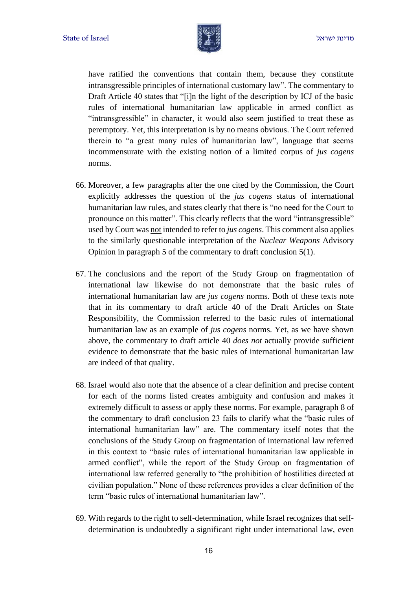

have ratified the conventions that contain them, because they constitute intransgressible principles of international customary law". The commentary to Draft Article 40 states that "[i]n the light of the description by ICJ of the basic rules of international humanitarian law applicable in armed conflict as "intransgressible" in character, it would also seem justified to treat these as peremptory. Yet, this interpretation is by no means obvious. The Court referred therein to "a great many rules of humanitarian law", language that seems incommensurate with the existing notion of a limited corpus of *jus cogens* norms.

- 66. Moreover, a few paragraphs after the one cited by the Commission, the Court explicitly addresses the question of the *jus cogens* status of international humanitarian law rules, and states clearly that there is "no need for the Court to pronounce on this matter". This clearly reflects that the word "intransgressible" used by Court was not intended to refer to *jus cogens*. This comment also applies to the similarly questionable interpretation of the *Nuclear Weapons* Advisory Opinion in paragraph 5 of the commentary to draft conclusion 5(1).
- 67. The conclusions and the report of the Study Group on fragmentation of international law likewise do not demonstrate that the basic rules of international humanitarian law are *jus cogens* norms. Both of these texts note that in its commentary to draft article 40 of the Draft Articles on State Responsibility, the Commission referred to the basic rules of international humanitarian law as an example of *jus cogens* norms. Yet, as we have shown above, the commentary to draft article 40 *does not* actually provide sufficient evidence to demonstrate that the basic rules of international humanitarian law are indeed of that quality.
- 68. Israel would also note that the absence of a clear definition and precise content for each of the norms listed creates ambiguity and confusion and makes it extremely difficult to assess or apply these norms. For example, paragraph 8 of the commentary to draft conclusion 23 fails to clarify what the "basic rules of international humanitarian law" are. The commentary itself notes that the conclusions of the Study Group on fragmentation of international law referred in this context to "basic rules of international humanitarian law applicable in armed conflict", while the report of the Study Group on fragmentation of international law referred generally to "the prohibition of hostilities directed at civilian population." None of these references provides a clear definition of the term "basic rules of international humanitarian law".
- 69. With regards to the right to self-determination, while Israel recognizes that selfdetermination is undoubtedly a significant right under international law, even